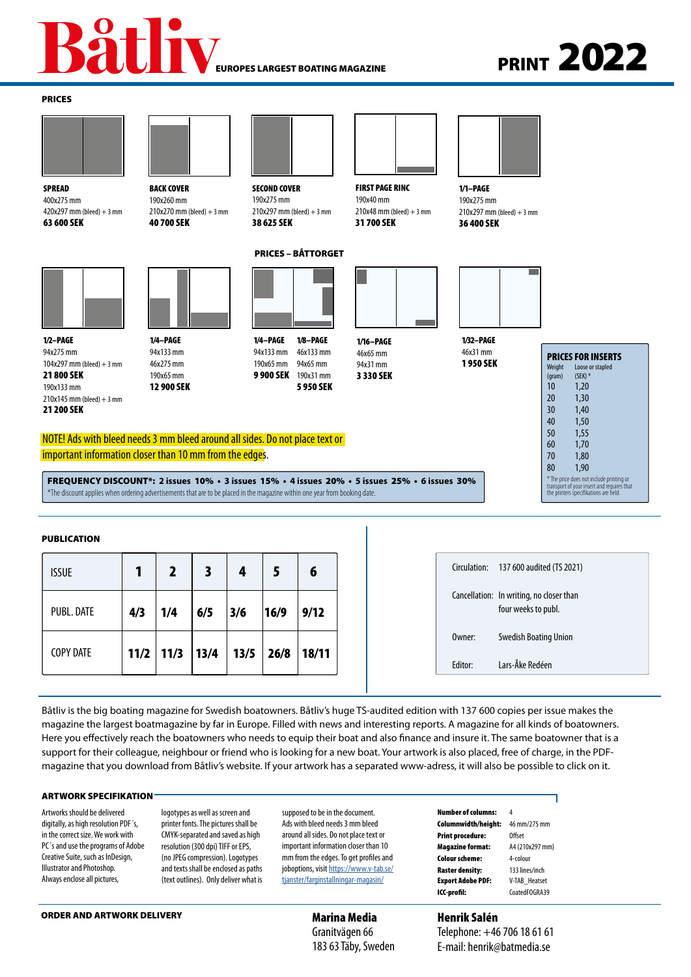#### EUROPES LARGEST BOATING MAGAZINE

# **PRINT 2022**

#### PRICES



**SPREAD** 400x275 mm  $420x297$  mm (bleed) + 3 mm 63 600 SEK

1/2–PAGE 94x275 mm

104x297 mm (bleed) + 3 mm 21 800 SEK 190x133 mm  $210x145$  mm (bleed)  $+3$  mm 21 200 SEK

BACK COVER 190x260 mm  $210x270$  mm (bleed) + 3 mm

40 700 SEK

1/4–PAGE 94x133 mm 46x275 mm 190x65 mm 12 900 SEK



190x275 mm  $210x297$  mm (bleed) + 3 mm 38 625 SEK

### PRICES – BÅTTORGET



1/8–PAGE 46x133 mm 94x65 mm 9 900 SEK 190x31 mm 5 950 SEK 1/4–PAGE 94x133 mm 190x65 mm



1/16–PAGE 46x65 mm 94x31 mm 3 330 SEK

1/32–PAGE 46x31 mm **1950 SEK** 

1/1–PAGE 190x275 mm



 $210x297$  mm (bleed) + 3 mm 36 400 SEK

|                                                                                        | <b>PRICES FOR INSERTS</b> |  |  |  |  |
|----------------------------------------------------------------------------------------|---------------------------|--|--|--|--|
| Weight                                                                                 | Loose or stapled          |  |  |  |  |
| (qram)                                                                                 | $(SEK)$ *                 |  |  |  |  |
| 10                                                                                     | 1,20                      |  |  |  |  |
| 20                                                                                     | 1,30                      |  |  |  |  |
| 30                                                                                     | 1,40                      |  |  |  |  |
| 40                                                                                     | 1,50                      |  |  |  |  |
| 50                                                                                     | 1,55                      |  |  |  |  |
| 60                                                                                     | 1,70                      |  |  |  |  |
| 70                                                                                     | 1,80                      |  |  |  |  |
| 80                                                                                     | 1,90                      |  |  |  |  |
| * The price does not include printing or<br>transport of your insert and requires that |                           |  |  |  |  |

NOTE! Ads with bleed needs 3 mm bleed around all sides. Do not place text or important information closer than 10 mm from the edges.

FREQUENCY DISCOUNT\*: **2 issues** 10% • **3 issues** 15% • **4 issues** 20% • **5 issues** 25% • **6 issues** 30% \*The discount applies when ordering advertisements that are to be placed in the magazine within one year from booking date.

| <b>PUBLICATION</b> |      |      |      |      |      |       |  |  |  |
|--------------------|------|------|------|------|------|-------|--|--|--|
| <b>ISSUE</b>       |      |      | 3    | 4    | 5    | 6     |  |  |  |
| PUBL. DATE         | 4/3  | 1/4  | 6/5  | 3/6  | 16/9 | 9/12  |  |  |  |
| <b>COPY DATE</b>   | 11/2 | 11/3 | 13/4 | 13/5 | 26/8 | 18/11 |  |  |  |

Båtliv is the big boating magazine for Swedish boatowners. Båtliv's huge TS-audited edition with 137 600 copies per issue makes the magazine the largest boatmagazine by far in Europe. Filled with news and interesting reports. A magazine for all kinds of boatowners. Here you effectively reach the boatowners who needs to equip their boat and also finance and insure it. The same boatowner that is a support for their colleague, neighbour or friend who is looking for a new boat. Your artwork is also placed, free of charge, in the PDFmagazine that you download from Båtliv's website. If your artwork has a separated www-adress, it will also be possible to click on it.

#### ARTWORK SPECIFIKATION

Artworks should be delivered digitally, as high resolution PDF´s, in the correct size. We work with PC´s and use the programs of Adobe Creative Suite, such as InDesign, Illustrator and Photoshop. Always enclose all pictures,

logotypes as well as screen and printer fonts. The pictures shall be CMYK-separated and saved as high resolution (300 dpi) TIFF or EPS, (no JPEG compression). Logotypes and texts shall be enclosed as paths (text outlines). Only deliver what is

supposed to be in the document. Ads with bleed needs 3 mm bleed around all sides. Do not place text or important information closer than 10 mm from the edges. To get profiles and joboptions, visit https://www.v-tab.se/ tianster/farginstallningar-magasin/

> Marina Media Granitvägen 66 183 63 Täby, Sweden

Number of columns: 4 Columnwidth/height: 46 mm/275 mm Print procedure: Offset Magazine format: A4 (210x297 mm) Colour scheme: 4-colour Raster density: 133 lines/inch Export Adobe PDF: V-TAB\_Heatset ICC-profil: CoatedFOGRA39

ORDER AND ARTWORK DELIVERY **EXAMPLE A CONSUMING MARIA MEDIA ARTICLE AND ARTICLE ASSESS** 

## FIRST PAGE RINC SECOND COVER

190x40 mm  $210x48$  mm (bleed) + 3 mm 31 700 SEK

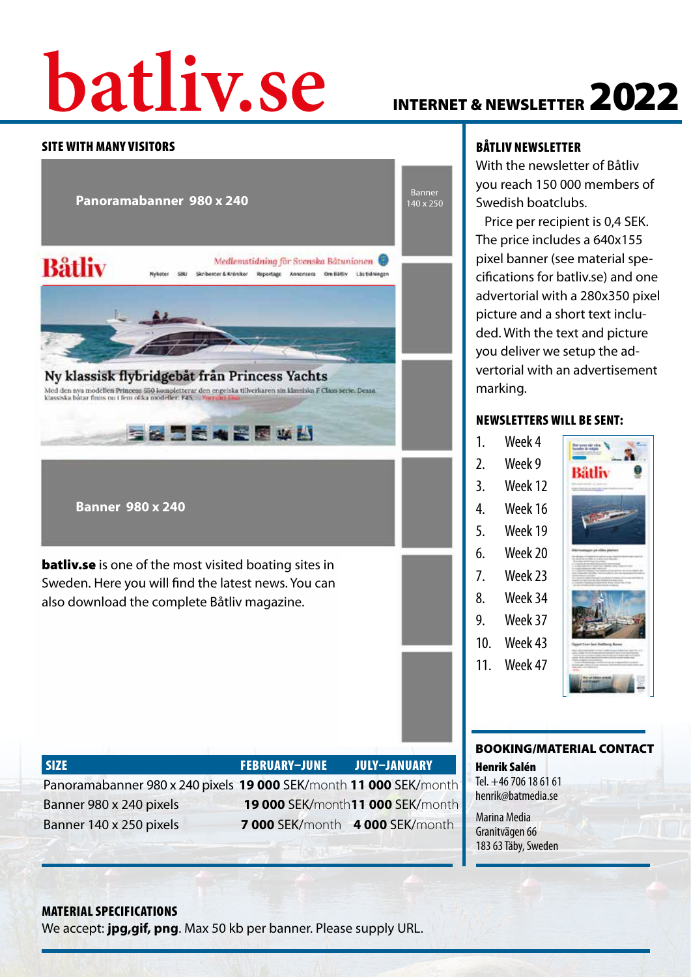# **batliv.se** INTERNET & NEWSLETTER 2022

#### SITE WITH MANY VISITORS



#### BÅTLIV NEWSLETTER

With the newsletter of Båtliv you reach 150 000 members of Swedish boatclubs.

 Price per recipient is 0,4 SEK. The price includes a 640x155 pixel banner (see material specifications for batliv.se) and one advertorial with a 280x350 pixel picture and a short text included. With the text and picture you deliver we setup the advertorial with an advertisement marking.

#### NEWSLETTERS WILL BE SENT:

| 1. | Week 4  |
|----|---------|
| 2. | Week 9  |
| 3. | Week 12 |
| 4. | Week 16 |
| 5. | Week 19 |
|    |         |

- 
- 7. Week 23
- 
- 
- 10. Week 43
- 11. Week 47



#### BOOKING/MATERIAL CONTACT

Henrik Salén Tel. +46 706 18 61 61 henrik@batmedia.se

Marina Media Granitvägen 66 183 63 Täby, Sweden

#### MATERIAL SPECIFICATIONS

We accept: **jpg,gif, png**. Max 50 kb per banner. Please supply URL.

SIZE FEBRUARY–JUNE JULY–JANUARY

Panoramabanner 980 x 240 pixels **19 000** SEK/month **11 000** SEK/month Banner 980 x 240 pixels **19 000** SEK/month**11 000** SEK/month Banner 140 x 250 pixels **7 000** SEK/month **4 000** SEK/month

6. Week 20 8. Week 34 9. Week 37